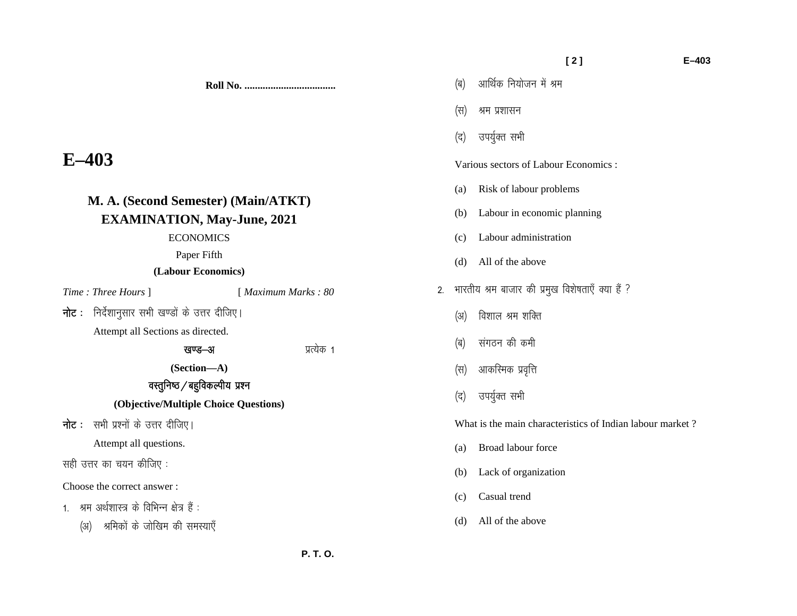**Roll No. ...................................** 

# **E–403**

# **M. A. (Second Semester) (Main/ATKT) EXAMINATION, May-June, 2021**

### ECONOMICS

Paper Fifth

## **(Labour Economics)**

- *Time : Three Hours* ] [ *Maximum Marks : 80*
- $\overline{\mathsf{h}}$ ट : निर्देशानुसार सभी खण्डों के उत्तर दीजिए।

Attempt all Sections as directed.

# खण्ड-अ ब्याह्य करने प्रत्येक १

**(Section—A)** 

# वस्तुनिष्ठ $\sqrt{ }$ बहुविकल्पीय प्रश्न

## **(Objective/Multiple Choice Questions)**

**नोट**: सभी प्रश्नों के उत्तर दीजिए।

Attempt all questions.

सही उत्तर का चयन कीजिए :

Choose the correct answer :

- $1.$  श्रम अर्थशास्त्र के विभिन्न क्षेत्र हैं :
	- (अ) श्रमिकों के जोखिम की समस्याएँ

|                                       |                                                           | (स) श्रम प्रशासन                |  |  |
|---------------------------------------|-----------------------------------------------------------|---------------------------------|--|--|
|                                       |                                                           | (द) उपर्युक्त सभी               |  |  |
| Various sectors of Labour Economics : |                                                           |                                 |  |  |
|                                       | (a)                                                       | Risk of labour problems         |  |  |
|                                       |                                                           | (b) Labour in economic planning |  |  |
|                                       |                                                           | (c) Labour administration       |  |  |
|                                       |                                                           | (d) All of the above            |  |  |
| 2.                                    | भारतीय श्रम बाजार की प्रमुख विशेषताएँ क्या हैं ?          |                                 |  |  |
|                                       |                                                           | (अ) विशाल श्रम शक्ति            |  |  |
|                                       |                                                           | (ब) संगठन की कमी                |  |  |
|                                       |                                                           | (स) आकरिमक प्रवृत्ति            |  |  |
|                                       |                                                           | (द) उपर्युक्त सभी               |  |  |
|                                       | What is the main characteristics of Indian labour market? |                                 |  |  |
|                                       | (a)                                                       | Broad labour force              |  |  |
|                                       |                                                           | (b) Lack of organization        |  |  |
|                                       |                                                           | (c) Casual trend                |  |  |

(d) All of the above

(ब) आर्थिक नियोजन में श्रम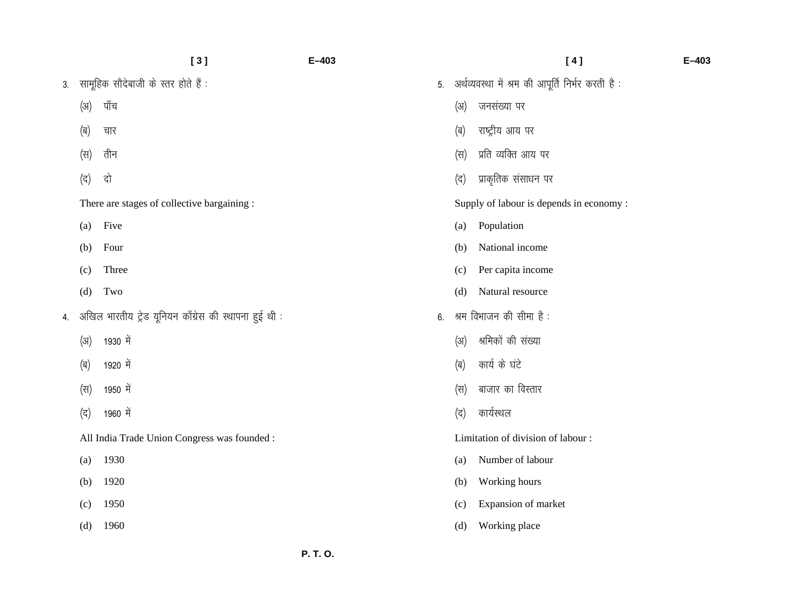|    |      | [3]                                                   | $E - 403$ |    |      | [4]                                               | $E - 403$ |
|----|------|-------------------------------------------------------|-----------|----|------|---------------------------------------------------|-----------|
| 3. |      | सामूहिक सौदेबाजी के स्तर होते हैं :                   |           | 5. |      | अर्थव्यवस्था में श्रम की आपूर्ति निर्भर करती है : |           |
|    | (31) | पाँच                                                  |           |    | (31) | जनसंख्या पर                                       |           |
|    | (ब)  | चार                                                   |           |    | (ब)  | राष्ट्रीय आय पर                                   |           |
|    | (स)  | तीन                                                   |           |    | (स)  | प्रति व्यक्ति आय पर                               |           |
|    | (द)  | दो                                                    |           |    | (द)  | प्राकृतिक संसाधन पर                               |           |
|    |      | There are stages of collective bargaining :           |           |    |      | Supply of labour is depends in economy :          |           |
|    | (a)  | Five                                                  |           |    | (a)  | Population                                        |           |
|    | (b)  | Four                                                  |           |    | (b)  | National income                                   |           |
|    | (c)  | Three                                                 |           |    | (c)  | Per capita income                                 |           |
|    | (d)  | Two                                                   |           |    | (d)  | Natural resource                                  |           |
| 4. |      | अखिल भारतीय ट्रेड यूनियन काँग्रेस की स्थापना हुई थी : |           | 6. |      | श्रम विभाजन की सीमा है :                          |           |
|    | (31) | 1930 में                                              |           |    | (31) | श्रमिकों की संख्या                                |           |
|    | (ब)  | 1920 में                                              |           |    | (ब)  | कार्य के घंटे                                     |           |
|    | (स)  | 1950 में                                              |           |    | (स)  | बाजार का विस्तार                                  |           |
|    | (द)  | 1960 में                                              |           |    | (द)  | कार्यस्थल                                         |           |
|    |      | All India Trade Union Congress was founded :          |           |    |      | Limitation of division of labour:                 |           |
|    | (a)  | 1930                                                  |           |    | (a)  | Number of labour                                  |           |
|    | (b)  | 1920                                                  |           |    | (b)  | Working hours                                     |           |
|    | (c)  | 1950                                                  |           |    | (c)  | Expansion of market                               |           |
|    | (d)  | 1960                                                  |           |    | (d)  | Working place                                     |           |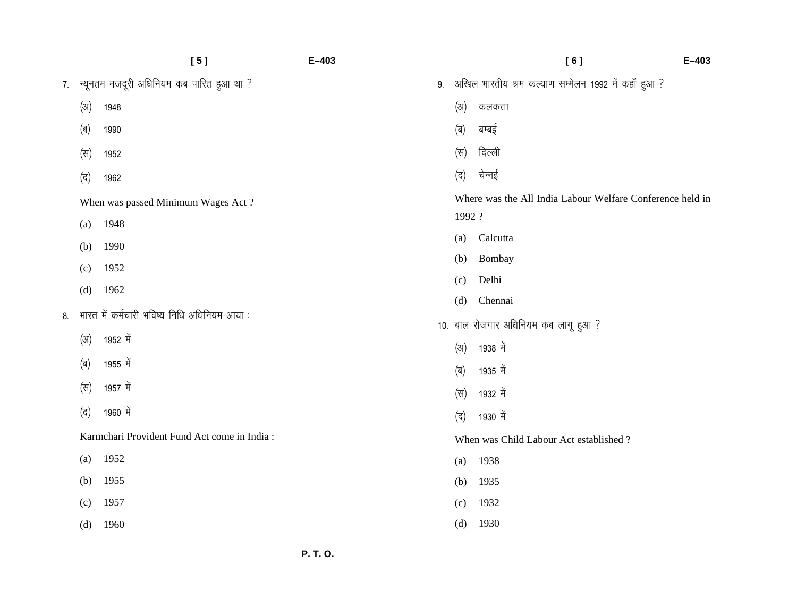|    |      | [5]                                         | $E - 403$ |    |       | [6]                                                       | $E - 403$ |
|----|------|---------------------------------------------|-----------|----|-------|-----------------------------------------------------------|-----------|
| 7. |      | न्यूनतम मजदूरी अधिनियम कब पारित हुआ था ?    |           | 9. |       | अखिल भारतीय श्रम कल्याण सम्मेलन 1992 में कहाँ हुआ ?       |           |
|    | (3I) | 1948                                        |           |    | (3I)  | कलकत्ता                                                   |           |
|    | (ब)  | 1990                                        |           |    | (ब)   | बम्बई                                                     |           |
|    | (स)  | 1952                                        |           |    | (स)   | दिल्ली                                                    |           |
|    | (द)  | 1962                                        |           |    | (द)   | चेन्नई                                                    |           |
|    |      | When was passed Minimum Wages Act?          |           |    |       | Where was the All India Labour Welfare Conference held in |           |
|    | (a)  | 1948                                        |           |    | 1992? |                                                           |           |
|    | (b)  | 1990                                        |           |    | (a)   | Calcutta                                                  |           |
|    | (c)  | 1952                                        |           |    | (b)   | Bombay                                                    |           |
|    | (d)  | 1962                                        |           |    | (c)   | Delhi                                                     |           |
|    |      |                                             |           |    | (d)   | Chennai                                                   |           |
| 8. |      | भारत में कर्मचारी भविष्य निधि अधिनियम आया:  |           |    |       | 10. बाल रोजगार अधिनियम कब लागू हुआ ?                      |           |
|    | (3I) | 1952 में                                    |           |    | (3)   | 1938 में                                                  |           |
|    | (ब)  | 1955 में                                    |           |    | (ब)   | 1935 में                                                  |           |
|    | (स)  | 1957 में                                    |           |    | (स)   | 1932 में                                                  |           |
|    | (द)  | 1960 में                                    |           |    | (द)   | 1930 में                                                  |           |
|    |      | Karmchari Provident Fund Act come in India: |           |    |       | When was Child Labour Act established?                    |           |
|    | (a)  | 1952                                        |           |    | (a)   | 1938                                                      |           |
|    | (b)  | 1955                                        |           |    | (b)   | 1935                                                      |           |
|    | (c)  | 1957                                        |           |    | (c)   | 1932                                                      |           |
|    | (d)  | 1960                                        |           |    | (d)   | 1930                                                      |           |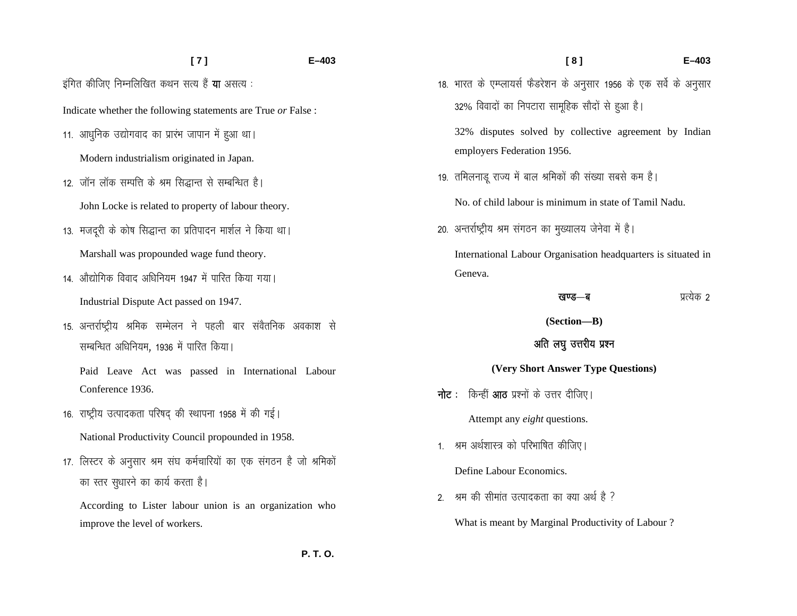# **[ 7 ] E–403**  इंगित कीजिए निम्नलिखित कथन सत्य हैं **या** असत्य :

Indicate whether the following statements are True *or* False :

- 11. आधुनिक उद्योगवाद का प्रारंभ जापान में हुआ था। Modern industrialism originated in Japan.
- 12. जॉन लॉक सम्पत्ति के श्रम सिद्धान्त से सम्बन्धित है। John Locke is related to property of labour theory.
- 13. मजदूरी के कोष सिद्धान्त का प्रतिपादन मार्शल ने किया था। Marshall was propounded wage fund theory.
- 14. औद्योगिक विवाद अधिनियम 1947 में पारित किया गया। Industrial Dispute Act passed on 1947.
- 15. अन्तर्राष्ट्रीय श्रमिक सम्मेलन ने पहली बार संवैतनिक अवकाश से सम्बन्धित अधिनियम, 1936 में पारित किया।

Paid Leave Act was passed in International Labour Conference 1936.

- 16. राष्ट्रीय उत्पादकता परिषद की स्थापना 1958 में की गई। National Productivity Council propounded in 1958.
- 17. लिस्टर के अनुसार श्रम संघ कर्मचारियों का एक संगठन है जो श्रमिकों का स्तर सुधारने का कार्य करता है।

According to Lister labour union is an organization who improve the level of workers.

 **P. T. O.**

18. भारत के एम्प्लायर्स फैडरेशन के अनुसार 1956 के एक सर्वे के अनुसार 32% विवादों का निपटारा सामूहिक सौदों से हुआ है।

32% disputes solved by collective agreement by Indian employers Federation 1956.

19. तमिलनाडू राज्य में बाल श्रमिकों की संख्या सबसे कम है।

No. of child labour is minimum in state of Tamil Nadu.

20. अन्तर्राष्ट्रीय श्रम संगठन का मुख्यालय जेनेवा में है।

International Labour Organisation headquarters is situated in Geneva.

#### [k.M&c izR;sd 2

**(Section—B)** 

## अति लघु उत्तरीय प्रश्न

### **(Very Short Answer Type Questions)**

**नोट**: किन्हीं **आठ** प्रश्नों के उत्तर दीजिए।

Attempt any *eight* questions.

1. श्रम अर्थशास्त्र को परिभाषित कीजिए।

Define Labour Economics.

2. श्रम की सीमांत उत्पादकता का क्या अर्थ है ?

What is meant by Marginal Productivity of Labour ?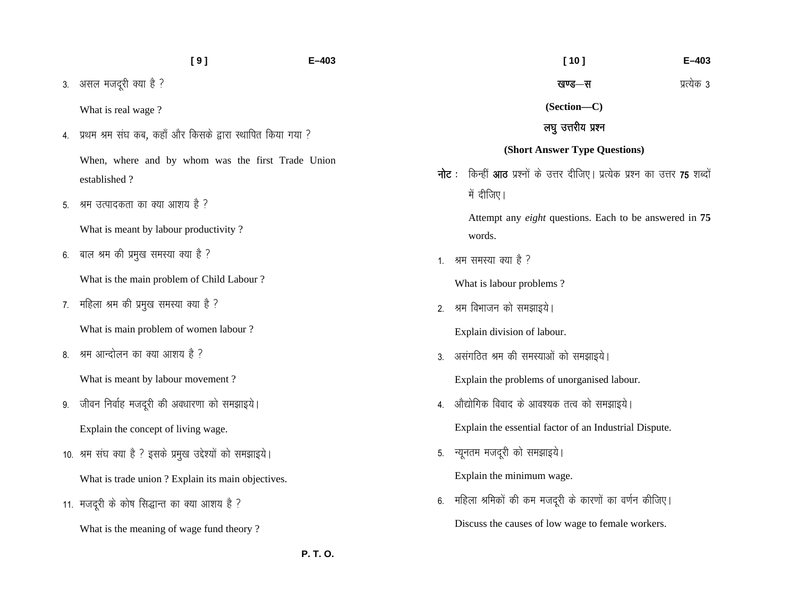|    | [9]                                                        | $E - 403$ | $[10]$<br>$E - 403$                                                                  |
|----|------------------------------------------------------------|-----------|--------------------------------------------------------------------------------------|
| 3. | असल मजदूरी क्या है ?                                       |           | प्रत्येक 3<br>खण्ड—स                                                                 |
|    | What is real wage?                                         |           | (Section-C)                                                                          |
| 4. | प्रथम श्रम संघ कब, कहाँ और किसके द्वारा स्थापित किया गया ? |           | लघु उत्तरीय प्रश्न                                                                   |
|    | When, where and by whom was the first Trade Union          |           | (Short Answer Type Questions)                                                        |
|    | established?                                               | नोट :     | किन्हीं <b>आठ</b> प्रश्नों के उत्तर दीजिए। प्रत्येक प्रश्न का उत्तर <b>75</b> शब्दों |
| 5. | श्रम उत्पादकता का क्या आशय है ?                            |           | में दीजिए।                                                                           |
|    | What is meant by labour productivity?                      |           | Attempt any <i>eight</i> questions. Each to be answered in 75<br>words.              |
| 6. | बाल श्रम की प्रमुख समस्या क्या है ?                        |           | 1. श्रम समस्या क्या है ?                                                             |
|    | What is the main problem of Child Labour?                  |           | What is labour problems?                                                             |
| 7. | महिला श्रम की प्रमुख समस्या क्या है ?                      | 2.        | श्रम विभाजन को समझाइये।                                                              |
|    | What is main problem of women labour?                      |           | Explain division of labour.                                                          |
| 8. | श्रम आन्दोलन का क्या आशय है ?                              | 3.        | असंगठित श्रम की समस्याओं को समझाइये।                                                 |
|    | What is meant by labour movement?                          |           | Explain the problems of unorganised labour.                                          |
| 9. | जीवन निर्वाह मजदूरी की अवधारणा को समझाइये।                 |           | 4. औद्योगिक विवाद के आवश्यक तत्व को समझाइये।                                         |
|    | Explain the concept of living wage.                        |           | Explain the essential factor of an Industrial Dispute.                               |
|    | 10. श्रम संघ क्या है ? इसके प्रमुख उद्देश्यों को समझाइये।  | 5.        | न्यूनतम मजदूरी को समझाइये।                                                           |
|    | What is trade union ? Explain its main objectives.         |           | Explain the minimum wage.                                                            |
|    | 11. मजदूरी के कोष सिद्धान्त का क्या आशय है ?               | 6.        | महिला श्रमिकों की कम मजदूरी के कारणों का वर्णन कीजिए।                                |
|    | What is the meaning of wage fund theory?                   |           | Discuss the causes of low wage to female workers.                                    |